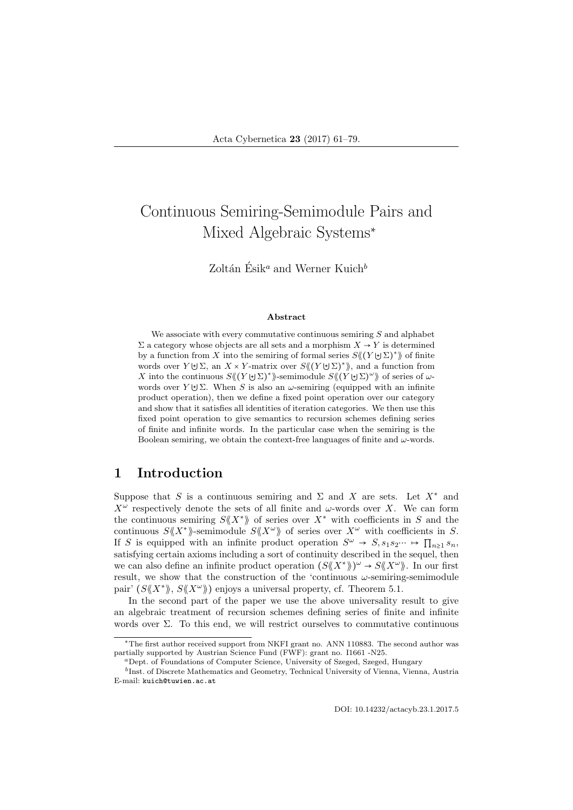# Continuous Semiring-Semimodule Pairs and Mixed Algebraic Systems<sup>∗</sup>

Zoltán Ésik<sup>a</sup> and Werner Kuich<sup>b</sup>

#### Abstract

We associate with every commutative continuous semiring  $S$  and alphabet  $\Sigma$  a category whose objects are all sets and a morphism  $X \to Y$  is determined by a function from X into the semiring of formal series  $S \langle (Y \cup \Sigma)^* \rangle$  of finite words over  $Y \cup \Sigma$ , an  $X \times Y$ -matrix over  $S \langle (Y \cup \Sigma)^* \rangle$ , and a function from X into the continuous  $S \langle (Y \cup \Sigma)^* \rangle$ -semimodule  $S \langle (Y \cup \Sigma)^{\omega} \rangle$  of series of  $\omega$ words over  $Y \cup \Sigma$ . When S is also an  $\omega$ -semiring (equipped with an infinite product operation), then we define a fixed point operation over our category and show that it satisfies all identities of iteration categories. We then use this fixed point operation to give semantics to recursion schemes defining series of finite and infinite words. In the particular case when the semiring is the Boolean semiring, we obtain the context-free languages of finite and  $\omega$ -words.

## 1 Introduction

Suppose that S is a continuous semiring and  $\Sigma$  and X are sets. Let  $X^*$  and  $X^{\omega}$  respectively denote the sets of all finite and  $\omega$ -words over X. We can form the continuous semiring  $S\langle\!\langle X^*\rangle\!\rangle$  of series over  $X^*$  with coefficients in S and the continuous  $S\langle X^*\rangle$ -semimodule  $S\langle X^{\omega}\rangle$  of series over  $X^{\omega}$  with coefficients in S. If S is equipped with an infinite product operation  $S^{\omega} \to S$ ,  $s_1 s_2 \cdots \mapsto \prod_{n\geq 1} s_n$ satisfying certain axioms including a sort of continuity described in the sequel, then we can also define an infinite product operation  $(S\langle X^*\rangle)^\omega \to S\langle X^*\rangle$ . In our first result, we show that the construction of the 'continuous  $\omega$ -semiring-semimodule pair'  $(S\langle\!\langle X^*\rangle\!\rangle, S\langle\!\langle X^*\rangle\!\rangle)$  enjoys a universal property, cf. Theorem 5.1.

In the second part of the paper we use the above universality result to give an algebraic treatment of recursion schemes defining series of finite and infinite words over Σ. To this end, we will restrict ourselves to commutative continuous

DOI: 10.14232/actacyb.23.1.2017.5

<sup>∗</sup>The first author received support from NKFI grant no. ANN 110883. The second author was partially supported by Austrian Science Fund (FWF): grant no. I1661 -N25.

<sup>a</sup>Dept. of Foundations of Computer Science, University of Szeged, Szeged, Hungary

b Inst. of Discrete Mathematics and Geometry, Technical University of Vienna, Vienna, Austria E-mail: kuich@tuwien.ac.at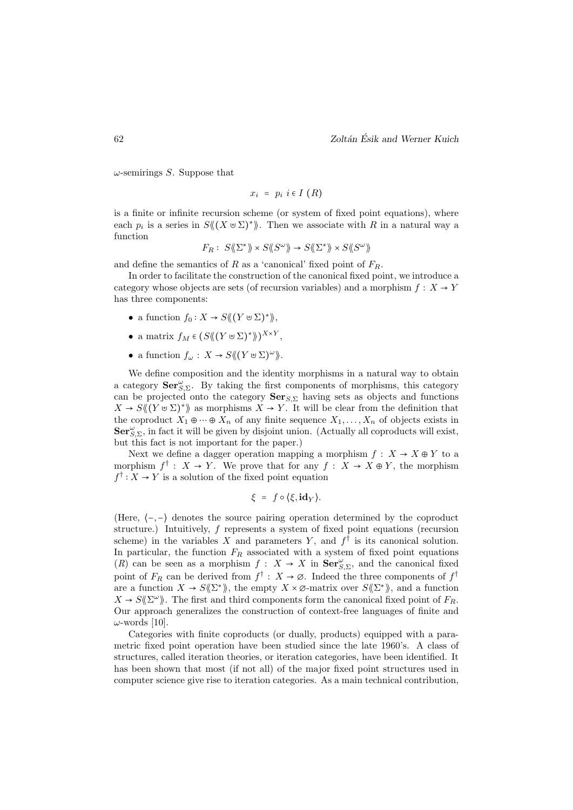$\omega$ -semirings S. Suppose that

$$
x_i = p_i \ i \in I \ (R)
$$

is a finite or infinite recursion scheme (or system of fixed point equations), where each  $p_i$  is a series in  $S\langle (X \cup \Sigma)^* \rangle$ . Then we associate with R in a natural way a function

$$
F_R:\ S\langle\!\langle\Sigma^*\rangle\!\rangle \times S\langle\!\langle S^\omega\rangle\!\rangle \to S\langle\!\langle\Sigma^*\rangle\!\rangle \times S\langle\!\langle S^\omega\rangle\!\rangle
$$

and define the semantics of R as a 'canonical' fixed point of  $F_R$ .

In order to facilitate the construction of the canonical fixed point, we introduce a category whose objects are sets (of recursion variables) and a morphism  $f: X \rightarrow Y$ has three components:

- a function  $f_0: X \to S \langle (Y \uplus \Sigma)^* \rangle$ ,
- a matrix  $f_M \in (S \langle (Y \cup \Sigma)^* \rangle)^{X \times Y},$
- a function  $f_{\omega}: X \to S \langle (Y \cup \Sigma)^{\omega} \rangle$ .

We define composition and the identity morphisms in a natural way to obtain a category  $\mathbf{Ser}_{S,\Sigma}^{\omega}$ . By taking the first components of morphisms, this category can be projected onto the category  $\textbf{Ser}_{S,\Sigma}$  having sets as objects and functions  $X \to S \langle (Y \cup \Sigma)^* \rangle$  as morphisms  $X \to Y$ . It will be clear from the definition that the coproduct  $X_1 \oplus \cdots \oplus X_n$  of any finite sequence  $X_1, \ldots, X_n$  of objects exists in  $\mathbf{Ser}_{S,\Sigma}^{\omega}$ , in fact it will be given by disjoint union. (Actually all coproducts will exist, but this fact is not important for the paper.)

Next we define a dagger operation mapping a morphism  $f: X \to X \oplus Y$  to a morphism  $f^{\dagger}$  :  $X \to Y$ . We prove that for any  $f : X \to X \oplus Y$ , the morphism  $f^\dagger: X \to Y$  is a solution of the fixed point equation

$$
\xi = f \circ \langle \xi, id_Y \rangle.
$$

(Here, ⟨−,−⟩ denotes the source pairing operation determined by the coproduct structure.) Intuitively,  $f$  represents a system of fixed point equations (recursion scheme) in the variables X and parameters Y, and  $f^{\dagger}$  is its canonical solution. In particular, the function  $F_R$  associated with a system of fixed point equations (R) can be seen as a morphism  $f: X \to X$  in  $\text{Ser}_{S,\Sigma}^{\omega}$ , and the canonical fixed point of  $F_R$  can be derived from  $f^{\dagger}: X \to \emptyset$ . Indeed the three components of  $f^{\dagger}$ are a function  $X \to S(\Sigma^*)$ , the empty  $X \times \varnothing$ -matrix over  $S(\Sigma^*)$ , and a function  $X \to S \langle \! \langle \Sigma^{\omega} \rangle \! \rangle$ . The first and third components form the canonical fixed point of  $F_R$ . Our approach generalizes the construction of context-free languages of finite and  $\omega$ -words [10].

Categories with finite coproducts (or dually, products) equipped with a parametric fixed point operation have been studied since the late 1960's. A class of structures, called iteration theories, or iteration categories, have been identified. It has been shown that most (if not all) of the major fixed point structures used in computer science give rise to iteration categories. As a main technical contribution,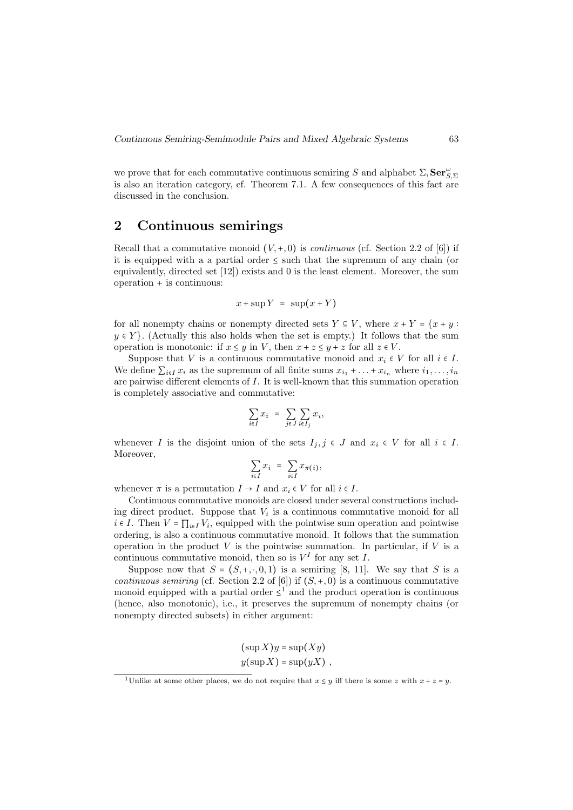we prove that for each commutative continuous semiring S and alphabet  $\Sigma,$  Ser $_{S,\Sigma}^{\omega}$ is also an iteration category, cf. Theorem 7.1. A few consequences of this fact are discussed in the conclusion.

# 2 Continuous semirings

Recall that a commutative monoid  $(V, +, 0)$  is *continuous* (cf. Section 2.2 of [6]) if it is equipped with a a partial order ≤ such that the supremum of any chain (or equivalently, directed set [12]) exists and 0 is the least element. Moreover, the sum operation + is continuous:

$$
x + \sup Y = \sup(x + Y)
$$

for all nonempty chains or nonempty directed sets  $Y \subseteq V$ , where  $x + Y = \{x + y :$  $y \in Y$ . (Actually this also holds when the set is empty.) It follows that the sum operation is monotonic: if  $x \leq y$  in V, then  $x + z \leq y + z$  for all  $z \in V$ .

Suppose that V is a continuous commutative monoid and  $x_i \in V$  for all  $i \in I$ . We define  $\sum_{i\in I} x_i$  as the supremum of all finite sums  $x_{i_1} + \ldots + x_{i_n}$  where  $i_1, \ldots, i_n$ are pairwise different elements of I. It is well-known that this summation operation is completely associative and commutative:

$$
\sum_{i \in I} x_i = \sum_{j \in J} \sum_{i \in I_j} x_i,
$$

whenever I is the disjoint union of the sets  $I_j, j \in J$  and  $x_i \in V$  for all  $i \in I$ . Moreover,

$$
\sum_{i \in I} x_i = \sum_{i \in I} x_{\pi(i)},
$$

whenever  $\pi$  is a permutation  $I \to I$  and  $x_i \in V$  for all  $i \in I$ .

Continuous commutative monoids are closed under several constructions including direct product. Suppose that  $V_i$  is a continuous commutative monoid for all  $i \in I$ . Then  $V = \prod_{i \in I} V_i$ , equipped with the pointwise sum operation and pointwise ordering, is also a continuous commutative monoid. It follows that the summation operation in the product  $V$  is the pointwise summation. In particular, if  $V$  is a continuous commutative monoid, then so is  $V^I$  for any set I.

Suppose now that  $S = (S, +, \cdot, 0, 1)$  is a semiring [8, 11]. We say that S is a continuous semiring (cf. Section 2.2 of [6]) if  $(S, +, 0)$  is a continuous commutative monoid equipped with a partial order  $\leq^1$  and the product operation is continuous (hence, also monotonic), i.e., it preserves the supremum of nonempty chains (or nonempty directed subsets) in either argument:

$$
(\sup X)y = \sup(Xy)
$$
  

$$
y(\sup X) = \sup(yX),
$$

<sup>&</sup>lt;sup>1</sup>Unlike at some other places, we do not require that  $x \leq y$  iff there is some z with  $x + z = y$ .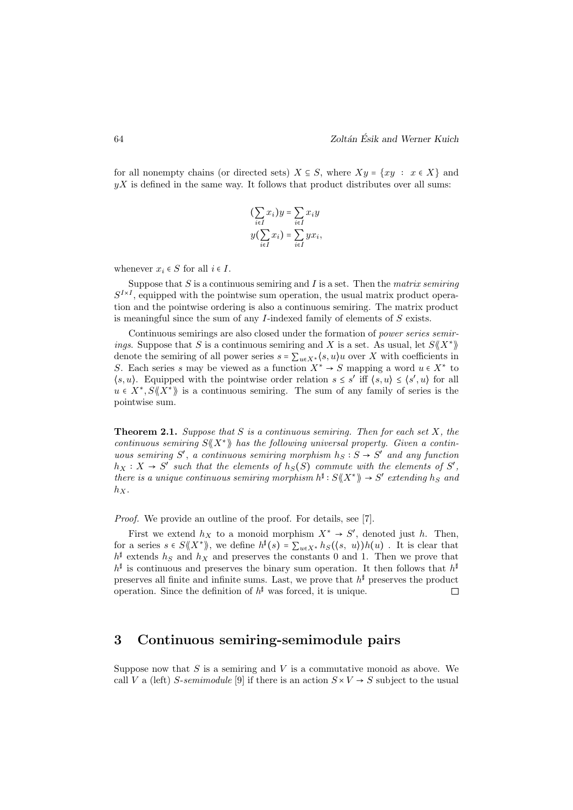for all nonempty chains (or directed sets)  $X \subseteq S$ , where  $Xy = \{xy : x \in X\}$  and  $yX$  is defined in the same way. It follows that product distributes over all sums:

$$
\left(\sum_{i\in I} x_i\right)y = \sum_{i\in I} x_i y
$$

$$
y\left(\sum_{i\in I} x_i\right) = \sum_{i\in I} y x_i,
$$

whenever  $x_i \in S$  for all  $i \in I$ .

Suppose that  $S$  is a continuous semiring and  $I$  is a set. Then the matrix semiring  $S^{I\times I}$ , equipped with the pointwise sum operation, the usual matrix product operation and the pointwise ordering is also a continuous semiring. The matrix product is meaningful since the sum of any  $I$ -indexed family of elements of  $S$  exists.

Continuous semirings are also closed under the formation of power series semirings. Suppose that S is a continuous semiring and X is a set. As usual, let  $S\langle\!\langle X^*\rangle\!\rangle$ denote the semiring of all power series  $s = \sum_{u \in X^*} \langle s, u \rangle u$  over X with coefficients in S. Each series s may be viewed as a function  $X^* \to S$  mapping a word  $u \in X^*$  to  $\langle s, u \rangle$ . Equipped with the pointwise order relation  $s \leq s'$  iff  $\langle s, u \rangle \leq \langle s', u \rangle$  for all  $u \in X^*, S\langle\!\langle X^*\rangle\!\rangle$  is a continuous semiring. The sum of any family of series is the pointwise sum.

**Theorem 2.1.** Suppose that S is a continuous semiring. Then for each set X, the continuous semiring  $S\langle X^*\rangle$  has the following universal property. Given a continuous semiring S', a continuous semiring morphism  $h_S : S \to S'$  and any function  $h_X: X \to S'$  such that the elements of  $h_S(S)$  commute with the elements of  $S'$ , there is a unique continuous semiring morphism  $h^{\sharp}: S \langle \langle X^* \rangle \rangle \to S'$  extending  $h_S$  and  $h_X$ .

Proof. We provide an outline of the proof. For details, see [7].

First we extend  $h_X$  to a monoid morphism  $X^* \to S'$ , denoted just h. Then, for a series  $s \in S\langle\!\langle X^*\rangle\rangle$ , we define  $h^{\sharp}(s) = \sum_{u \in X^*} h_S(\langle s, u \rangle)h(u)$ . It is clear that  $h^{\sharp}$  extends  $h_S$  and  $h_X$  and preserves the constants 0 and 1. Then we prove that  $h^{\sharp}$  is continuous and preserves the binary sum operation. It then follows that  $h^{\sharp}$ preserves all finite and infinite sums. Last, we prove that  $h^{\sharp}$  preserves the product operation. Since the definition of  $h^{\sharp}$  was forced, it is unique.  $\Box$ 

## 3 Continuous semiring-semimodule pairs

Suppose now that  $S$  is a semiring and  $V$  is a commutative monoid as above. We call V a (left) S-semimodule [9] if there is an action  $S \times V \to S$  subject to the usual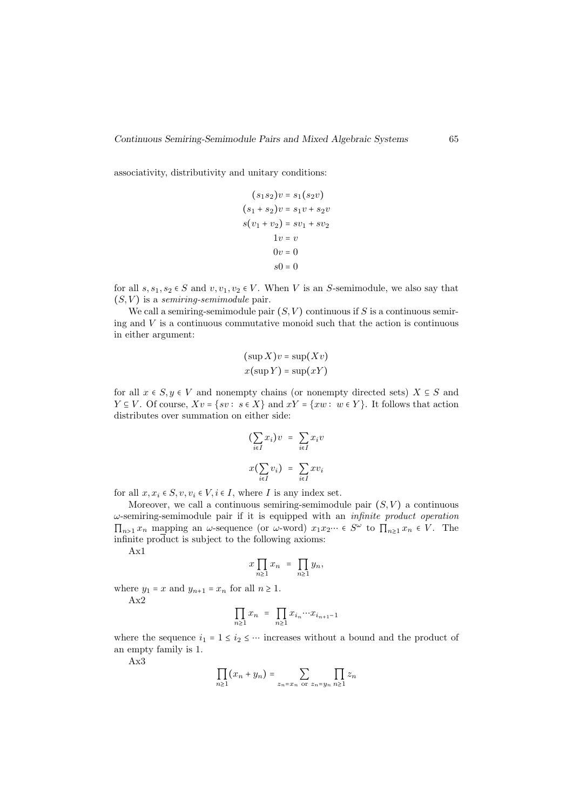associativity, distributivity and unitary conditions:

$$
(s1s2)v = s1(s2v)
$$
  
\n
$$
(s1 + s2)v = s1v + s2v
$$
  
\n
$$
s(v1 + v2) = sv1 + sv2
$$
  
\n
$$
1v = v
$$
  
\n
$$
0v = 0
$$
  
\n
$$
s0 = 0
$$

for all  $s, s_1, s_2 \in S$  and  $v, v_1, v_2 \in V$ . When V is an S-semimodule, we also say that  $(S, V)$  is a semiring-semimodule pair.

We call a semiring-semimodule pair  $(S, V)$  continuous if S is a continuous semiring and  $V$  is a continuous commutative monoid such that the action is continuous in either argument:

$$
(\sup X)v = \sup (Xv)
$$

$$
x(\sup Y) = \sup (xY)
$$

for all  $x \in S, y \in V$  and nonempty chains (or nonempty directed sets)  $X \subseteq S$  and  $Y \subseteq V$ . Of course,  $Xv = \{sv : s \in X\}$  and  $xY = \{xw : w \in Y\}$ . It follows that action distributes over summation on either side:

$$
\left(\sum_{i \in I} x_i\right) v = \sum_{i \in I} x_i v
$$

$$
x\left(\sum_{i \in I} v_i\right) = \sum_{i \in I} x v_i
$$

for all  $x, x_i \in S$ ,  $v, v_i \in V$ ,  $i \in I$ , where I is any index set.

Moreover, we call a continuous semiring-semimodule pair  $(S, V)$  a continuous  $\omega$ -semiring-semimodule pair if it is equipped with an *infinite product operation*  $\prod_{n>1} x_n$  mapping an  $\omega$ -sequence (or  $\omega$ -word)  $x_1 x_2 \cdots \in S^{\omega}$  to  $\prod_{n\geq 1} x_n \in V$ . The infinite product is subject to the following axioms:

Ax1

$$
x \prod_{n\geq 1} x_n = \prod_{n\geq 1} y_n,
$$

where  $y_1 = x$  and  $y_{n+1} = x_n$  for all  $n \ge 1$ .

Ax2

$$
\prod_{n\geq 1} x_n = \prod_{n\geq 1} x_{i_n} \cdots x_{i_{n+1}-1}
$$

where the sequence  $i_1 = 1 \le i_2 \le \cdots$  increases without a bound and the product of an empty family is 1.

Ax3

$$
\prod_{n\geq 1} (x_n + y_n) = \sum_{z_n = x_n \text{ or } z_n = y_n} \prod_{n\geq 1} z_n
$$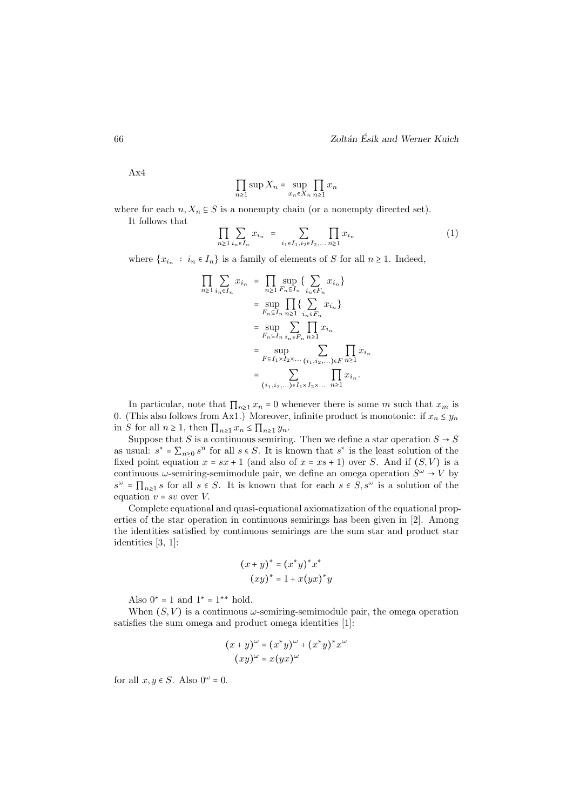Ax4

$$
\prod_{n\geq 1} \sup X_n = \sup_{x_n \in X_n} \prod_{n\geq 1} x_n
$$

where for each  $n, X_n \subseteq S$  is a nonempty chain (or a nonempty directed set).

It follows that

$$
\prod_{n\geq 1} \sum_{i_n \in I_n} x_{i_n} = \sum_{i_1 \in I_1, i_2 \in I_2, \dots} \prod_{n\geq 1} x_{i_n}
$$
 (1)

where  $\{x_{i_n} : i_n \in I_n\}$  is a family of elements of S for all  $n \ge 1$ . Indeed,

$$
\prod_{n\geq 1} \sum_{i_n \in I_n} x_{i_n} = \prod_{n\geq 1} \sup_{F_n \subseteq I_n} \left\{ \sum_{i_n \in F_n} x_{i_n} \right\}
$$
  
\n
$$
= \sup_{F_n \subseteq I_n} \prod_{n\geq 1} \left\{ \sum_{i_n \in F_n} x_{i_n} \right\}
$$
  
\n
$$
= \sup_{F_n \subseteq I_n} \sum_{i_n \in F_n} \prod_{n\geq 1} x_{i_n}
$$
  
\n
$$
= \sup_{F \subseteq I_1 \times I_2 \times \dots} \sum_{(i_1, i_2, \dots) \in F} \prod_{n\geq 1} x_{i_n}
$$
  
\n
$$
= \sum_{(i_1, i_2, \dots) \in I_1 \times I_2 \times \dots} \prod_{n\geq 1} x_{i_n}.
$$

In particular, note that  $\prod_{n\geq 1} x_n = 0$  whenever there is some m such that  $x_m$  is 0. (This also follows from Ax1.) Moreover, infinite product is monotonic: if  $x_n \leq y_n$ in S for all  $n \geq 1$ , then  $\prod_{n\geq 1} x_n \leq \prod_{n\geq 1} y_n$ .

Suppose that S is a continuous semiring. Then we define a star operation  $S \rightarrow S$ as usual:  $s^* = \sum_{n\geq 0} s^n$  for all  $s \in S$ . It is known that  $s^*$  is the least solution of the fixed point equation  $x = sx + 1$  (and also of  $x = xs + 1$ ) over S. And if  $(S, V)$  is a continuous  $\omega$ -semiring-semimodule pair, we define an omega operation  $S^{\omega} \to V$  by  $s^{\omega} = \prod_{n\geq 1} s$  for all  $s \in S$ . It is known that for each  $s \in S$ ,  $s^{\omega}$  is a solution of the equation  $v = sv$  over  $V$ .

Complete equational and quasi-equational axiomatization of the equational properties of the star operation in continuous semirings has been given in [2]. Among the identities satisfied by continuous semirings are the sum star and product star identities [3, 1]:

$$
(x+y)^* = (x^*y)^*x^*
$$

$$
(xy)^* = 1 + x(yx)^*y
$$

Also  $0^* = 1$  and  $1^* = 1^{**}$  hold.

When  $(S, V)$  is a continuous  $\omega$ -semiring-semimodule pair, the omega operation satisfies the sum omega and product omega identities [1]:

$$
(x + y)^{\omega} = (x^*y)^{\omega} + (x^*y)^*x^{\omega}
$$

$$
(xy)^{\omega} = x(yx)^{\omega}
$$

for all  $x, y \in S$ . Also  $0^{\omega} = 0$ .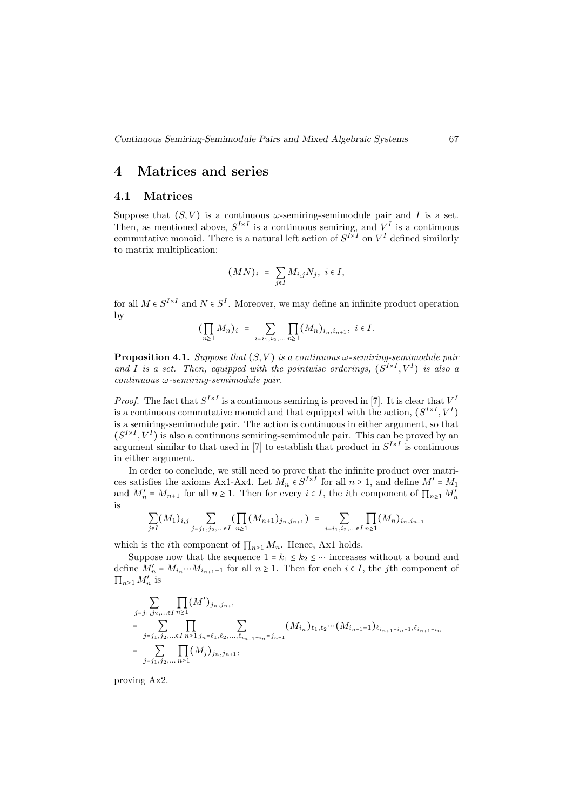#### 4 Matrices and series

#### 4.1 Matrices

Suppose that  $(S, V)$  is a continuous  $\omega$ -semiring-semimodule pair and I is a set. Then, as mentioned above,  $S^{I\times I}$  is a continuous semiring, and  $V^I$  is a continuous commutative monoid. There is a natural left action of  $S^{I\times I}$  on  $V^I$  defined similarly to matrix multiplication:

$$
(MN)_i = \sum_{j \in I} M_{i,j} N_j, i \in I,
$$

for all  $M \in S^{I \times I}$  and  $N \in S^I$ . Moreover, we may define an infinite product operation by

$$
(\prod_{n\geq 1} M_n)_i = \sum_{i=i_1,i_2,\ldots} \prod_{n\geq 1} (M_n)_{i_n,i_{n+1}}, \ i \in I.
$$

**Proposition 4.1.** Suppose that  $(S, V)$  is a continuous  $\omega$ -semiring-semimodule pair and I is a set. Then, equipped with the pointwise orderings,  $(S^{I \times I}, V^I)$  is also a  $continuous \omega$ -semiring-semimodule pair.

*Proof.* The fact that  $S^{I\times I}$  is a continuous semiring is proved in [7]. It is clear that  $V^I$ is a continuous commutative monoid and that equipped with the action,  $(S^{I \times I}, V^I)$ is a semiring-semimodule pair. The action is continuous in either argument, so that  $(S^{I\times I}, V^I)$  is also a continuous semiring-semimodule pair. This can be proved by an argument similar to that used in [7] to establish that product in  $S^{I \times I}$  is continuous in either argument.

In order to conclude, we still need to prove that the infinite product over matrices satisfies the axioms Ax1-Ax4. Let  $M_n \in S^{I \times I}$  for all  $n \ge 1$ , and define  $M' = M_1$ and  $M'_n = M_{n+1}$  for all  $n \ge 1$ . Then for every  $i \in I$ , the *i*th component of  $\prod_{n\ge 1} M'_n$ is

$$
\sum_{j \in I} (M_1)_{i,j} \sum_{j=j_1,j_2,... \in I} \left( \prod_{n \geq 1} (M_{n+1})_{j_n,j_{n+1}} \right) = \sum_{i=i_1,i_2,... \in I} \prod_{n \geq 1} (M_n)_{i_n,i_{n+1}}
$$

which is the *i*th component of  $\prod_{n\geq 1} M_n$ . Hence, Ax1 holds.

Suppose now that the sequence  $1 = k_1 \leq k_2 \leq \cdots$  increases without a bound and define  $M'_n = M_{i_n} \cdots M_{i_{n+1}-1}$  for all  $n \ge 1$ . Then for each  $i \in I$ , the *j*th component of  $\prod_{n\geq 1} M'_n$  is

$$
\sum_{\substack{j=j_1,j_2,\ldots\in I \\ j=j_1,j_2,\ldots\in I}} \prod_{n\geq 1} (M')_{j_n,j_{n+1}}
$$
\n
$$
= \sum_{\substack{j=j_1,j_2,\ldots\in I \\ j=j_1,j_2,\ldots\in I}} \prod_{n\geq 1} \sum_{j_n=\ell_1,\ell_2,\ldots,\ell_{i_{n+1}-i_n}=j_{n+1}} (M_{i_n})_{\ell_1,\ell_2}\cdots(M_{i_{n+1}-1})_{\ell_{i_{n+1}-i_n-1},\ell_{i_{n+1}-i_n}}
$$
\n
$$
= \sum_{j=j_1,j_2,\ldots\in I} \prod_{n\geq 1} (M_j)_{j_n,j_{n+1}},
$$

proving Ax2.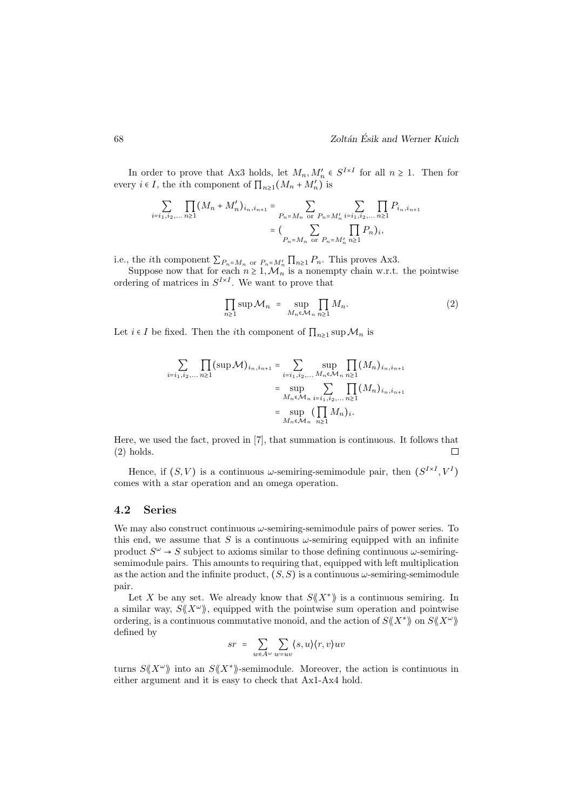In order to prove that Ax3 holds, let  $M_n, M'_n \in S^{I \times I}$  for all  $n \ge 1$ . Then for every  $i \in I$ , the *i*th component of  $\prod_{n\geq 1} (M_n + M'_n)$  is

$$
\sum_{i=i_1,i_2,\dots n\ge 1} \prod_{n\ge 1} (M_n + M'_n)_{i_n,i_{n+1}} = \sum_{P_n = M_n \text{ or } P_n = M'_n} \sum_{i=i_1,i_2,\dots n\ge 1} \prod_{n\ge 1} P_{i_n,i_{n+1}}
$$

$$
= \left(\sum_{P_n = M_n \text{ or } P_n = M'_n} \prod_{n\ge 1} P_n\right)_{i},
$$

i.e., the *i*th component  $\sum_{P_n=M_n}$  or  $P_n=M'_n \prod_{n\geq 1} P_n$ . This proves Ax3.

Suppose now that for each  $n \geq 1, \mathcal{M}_n$  is a nonempty chain w.r.t. the pointwise ordering of matrices in  $S^{I\times I}$ . We want to prove that

$$
\prod_{n\geq 1} \sup \mathcal{M}_n = \sup_{M_n \in \mathcal{M}_n} \prod_{n\geq 1} M_n.
$$
 (2)

Let  $i \in I$  be fixed. Then the *i*th component of  $\prod_{n\geq 1} \sup \mathcal{M}_n$  is

$$
\sum_{i=i_1, i_2, \dots, n \ge 1} \prod_{n \ge 1} (\sup \mathcal{M})_{i_n, i_{n+1}} = \sum_{i=i_1, i_2, \dots, M_n \in \mathcal{M}_n} \sup_{n \ge 1} \prod_{n \ge 1} (M_n)_{i_n, i_{n+1}}
$$

$$
= \sup_{M_n \in \mathcal{M}_n} \sum_{i=i_1, i_2, \dots, n \ge 1} \prod_{n \ge 1} (M_n)_{i_n, i_{n+1}}
$$

$$
= \sup_{M_n \in \mathcal{M}_n} (\prod_{n \ge 1} M_n)_i.
$$

Here, we used the fact, proved in [7], that summation is continuous. It follows that (2) holds.  $\Box$ 

Hence, if  $(S, V)$  is a continuous  $\omega$ -semiring-semimodule pair, then  $(S^{I \times I}, V^I)$ comes with a star operation and an omega operation.

#### 4.2 Series

We may also construct continuous  $\omega$ -semiring-semimodule pairs of power series. To this end, we assume that S is a continuous  $\omega$ -semiring equipped with an infinite product  $S^{\omega} \to S$  subject to axioms similar to those defining continuous  $\omega$ -semiringsemimodule pairs. This amounts to requiring that, equipped with left multiplication as the action and the infinite product,  $(S, S)$  is a continuous  $\omega$ -semiring-semimodule pair.

Let X be any set. We already know that  $S\langle X^*\rangle$  is a continuous semiring. In a similar way,  $S\langle \langle X^{\omega} \rangle$ , equipped with the pointwise sum operation and pointwise ordering, is a continuous commutative monoid, and the action of  $S\langle\langle X^*\rangle\rangle$  on  $S\langle\langle X^{\omega}\rangle\rangle$ defined by

$$
sr = \sum_{w \in A^{\omega}} \sum_{w = uv} \langle s, u \rangle \langle r, v \rangle uv
$$

turns  $S\langle \langle X^{\omega} \rangle$  into an  $S\langle \langle X^* \rangle$ -semimodule. Moreover, the action is continuous in either argument and it is easy to check that Ax1-Ax4 hold.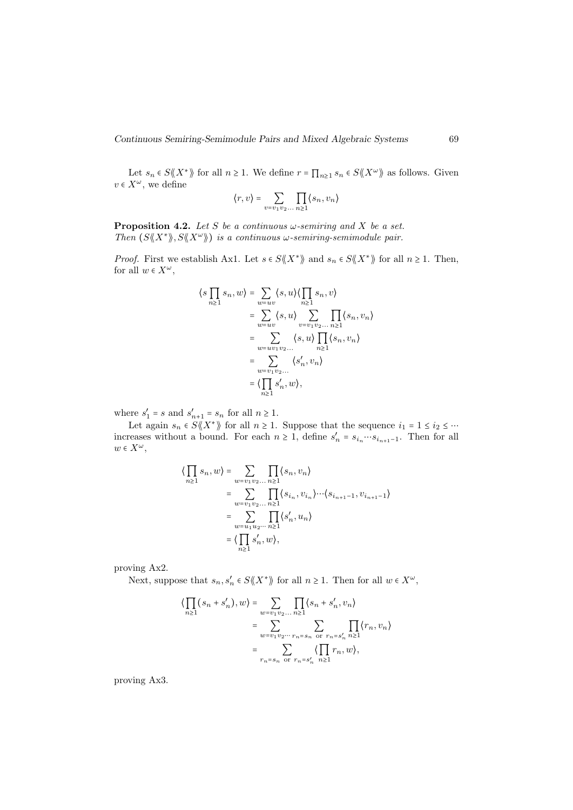Let  $s_n \in S\langle \langle X^*\rangle \rangle$  for all  $n \geq 1$ . We define  $r = \prod_{n\geq 1} s_n \in S\langle \langle X^{\omega} \rangle \rangle$  as follows. Given  $v \in X^{\omega}$ , we define

$$
\langle r, v \rangle = \sum_{v = v_1 v_2 \dots n \ge 1} \prod_{n \ge 1} \langle s_n, v_n \rangle
$$

**Proposition 4.2.** Let S be a continuous  $\omega$ -semiring and X be a set. Then  $(S\langle\!\langle X^*\rangle\!\rangle, S\langle\!\langle X^*\rangle\!\rangle)$  is a continuous  $\omega$ -semiring-semimodule pair.

*Proof.* First we establish Ax1. Let  $s \in S\langle \langle X^* \rangle \rangle$  and  $s_n \in S\langle \langle X^* \rangle \rangle$  for all  $n \geq 1$ . Then, for all  $w \in X^{\omega}$ ,

$$
\langle s \prod_{n\geq 1} s_n, w \rangle = \sum_{w=uv} \langle s, u \rangle \langle \prod_{n\geq 1} s_n, v \rangle
$$
  
\n
$$
= \sum_{w=uv} \langle s, u \rangle \sum_{v=v_1v_2...} \prod_{n\geq 1} \langle s_n, v_n \rangle
$$
  
\n
$$
= \sum_{w=uv_1v_2...} \langle s, u \rangle \prod_{n\geq 1} \langle s_n, v_n \rangle
$$
  
\n
$$
= \sum_{w=v_1v_2...} \langle s'_n, v_n \rangle
$$
  
\n
$$
= \langle \prod_{n\geq 1} s'_n, w \rangle,
$$

where  $s'_1 = s$  and  $s'_{n+1} = s_n$  for all  $n \ge 1$ .

Let again  $s_n \in S \langle X^* \rangle$  for all  $n \geq 1$ . Suppose that the sequence  $i_1 = 1 \leq i_2 \leq \cdots$ increases without a bound. For each  $n \geq 1$ , define  $s'_n = s_{i_n} \cdots s_{i_{n+1}-1}$ . Then for all  $w \in X^{\omega}$ ,

$$
\langle \prod_{n\geq 1} s_n, w \rangle = \sum_{w=v_1v_2...} \prod_{n\geq 1} \langle s_n, v_n \rangle
$$
  
= 
$$
\sum_{w=v_1v_2...} \prod_{n\geq 1} \langle s_{i_n}, v_{i_n} \rangle \cdots \langle s_{i_{n+1}-1}, v_{i_{n+1}-1} \rangle
$$
  
= 
$$
\sum_{w=u_1u_2...} \prod_{n\geq 1} \langle s'_n, u_n \rangle
$$
  
= 
$$
\langle \prod_{n\geq 1} s'_n, w \rangle,
$$

proving Ax2.

Next, suppose that  $s_n, s'_n \in S\langle \langle X^* \rangle \rangle$  for all  $n \geq 1$ . Then for all  $w \in X^{\omega}$ ,

$$
\langle \prod_{n\geq 1} (s_n + s'_n), w \rangle = \sum_{w=v_1v_2...n\geq 1} \prod_{n\geq 1} \langle s_n + s'_n, v_n \rangle
$$
  
= 
$$
\sum_{w=v_1v_2...n=s_n} \sum_{\text{or } r_n = s'_n} \prod_{n\geq 1} \langle r_n, v_n \rangle
$$
  
= 
$$
\sum_{r_n = s_n \text{ or } r_n = s'_n} \langle \prod_{n\geq 1} r_n, w \rangle,
$$

proving Ax3.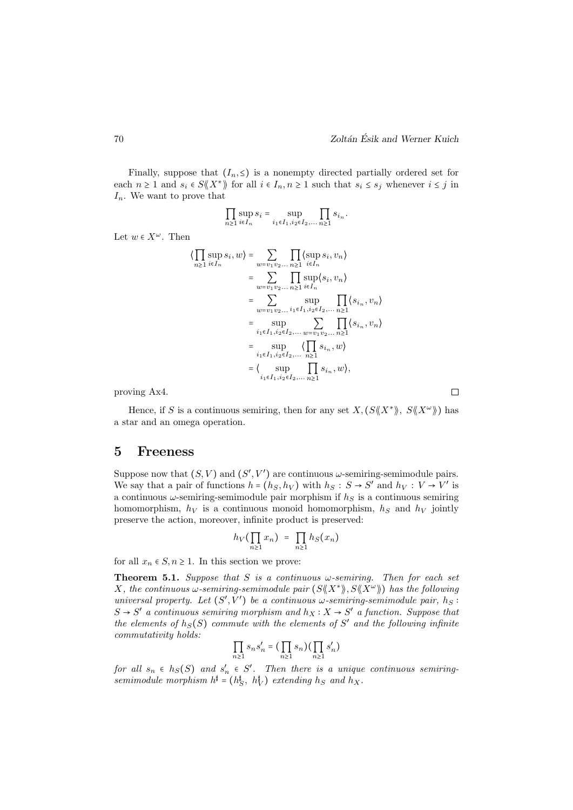Finally, suppose that  $(I_n, \leq)$  is a nonempty directed partially ordered set for each  $n \geq 1$  and  $s_i \in S\langle \langle X^* \rangle \rangle$  for all  $i \in I_n, n \geq 1$  such that  $s_i \leq s_j$  whenever  $i \leq j$  in  $I_n$ . We want to prove that

$$
\prod_{n\geq 1}\sup_{i\in I_n}s_i=\sup_{i_1\in I_1,i_2\in I_2,\ldots}\prod_{n\geq 1}s_{i_n}.
$$

Let  $w \in X^{\omega}$ . Then

$$
\langle \prod_{n\geq 1} \sup_{i\in I_n} s_i, w \rangle = \sum_{w=v_1v_2...} \prod_{n\geq 1} \langle \sup_{i\in I_n} s_i, v_n \rangle
$$
  
\n
$$
= \sum_{w=v_1v_2...} \prod_{n\geq 1} \sup_{i\in I_n} \langle s_i, v_n \rangle
$$
  
\n
$$
= \sum_{w=v_1v_2...} \sup_{i_1\in I_1, i_2\in I_2,...} \prod_{n\geq 1} \langle s_{i_n}, v_n \rangle
$$
  
\n
$$
= \sup_{i_1\in I_1, i_2\in I_2,...} \sum_{w=v_1v_2...} \prod_{n\geq 1} \langle s_{i_n}, v_n \rangle
$$
  
\n
$$
= \sup_{i_1\in I_1, i_2\in I_2,...} \langle \prod_{n\geq 1} s_{i_n}, w \rangle
$$
  
\n
$$
= \langle \sup_{i_1\in I_1, i_2\in I_2,...} \prod_{n\geq 1} s_{i_n}, w \rangle,
$$

proving Ax4.

Hence, if S is a continuous semiring, then for any set  $X, (S \ll X^*)$ ,  $S \ll X^{\omega}$ ) has a star and an omega operation.

#### 5 Freeness

Suppose now that  $(S, V)$  and  $(S', V')$  are continuous  $\omega$ -semiring-semimodule pairs. We say that a pair of functions  $h = (h_S, h_V)$  with  $h_S : S \to S'$  and  $h_V : V \to V'$  is a continuous  $\omega$ -semiring-semimodule pair morphism if  $h<sub>S</sub>$  is a continuous semiring homomorphism,  $h_V$  is a continuous monoid homomorphism,  $h_S$  and  $h_V$  jointly preserve the action, moreover, infinite product is preserved:

$$
h_V(\prod_{n\geq 1}x_n) = \prod_{n\geq 1}h_S(x_n)
$$

for all  $x_n \in S, n \ge 1$ . In this section we prove:

**Theorem 5.1.** Suppose that S is a continuous  $\omega$ -semiring. Then for each set X, the continuous  $\omega$ -semiring-semimodule pair  $(S\langle\!\langle X^*\rangle\!\rangle, S\langle\!\langle X^*\rangle\!\rangle)$  has the following universal property. Let  $(S', V')$  be a continuous  $\omega$ -semiring-semimodule pair,  $h_S$ :  $S \rightarrow S'$  a continuous semiring morphism and  $h_X : X \rightarrow S'$  a function. Suppose that the elements of  $h_S(S)$  commute with the elements of S' and the following infinite commutativity holds:

$$
\prod_{n\geq 1} s_n s'_n = \left(\prod_{n\geq 1} s_n\right) \left(\prod_{n\geq 1} s'_n\right)
$$

for all  $s_n \in h_S(S)$  and  $s'_n \in S'$ . Then there is a unique continuous semiringsemimodule morphism  $h^{\sharp} = (h^{\sharp}_{S}, h^{\sharp}_{V})$  extending  $h_{S}$  and  $h_{X}$ .

 $\Box$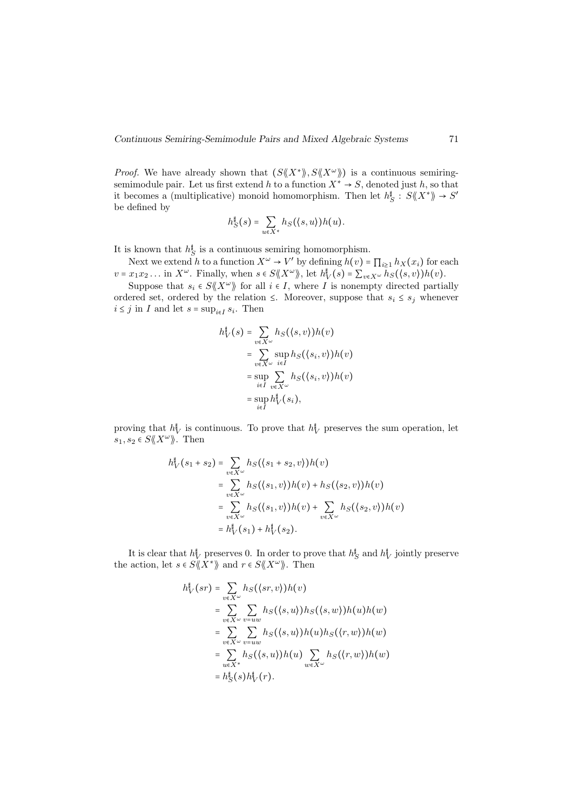*Proof.* We have already shown that  $(S\langle X^*\rangle, S\langle X^*\rangle)$  is a continuous semiringsemimodule pair. Let us first extend h to a function  $X^* \to S$ , denoted just h, so that it becomes a (multiplicative) monoid homomorphism. Then let  $h_S^{\sharp}: S \langle \langle X^* \rangle \rangle \to S'$ be defined by

$$
h_S^{\sharp}(s) = \sum_{u \in X^*} h_S(\langle s, u \rangle) h(u).
$$

It is known that  $h_{\mathcal{S}}^{\sharp}$  is a continuous semiring homomorphism.

Next we extend h to a function  $X^{\omega} \to V'$  by defining  $h(v) = \prod_{i\geq 1} h_X(x_i)$  for each  $v = x_1 x_2 \dots$  in  $X^\omega$ . Finally, when  $s \in S \langle X^\omega \rangle$ , let  $h_V^{\dagger}(s) = \sum_{v \in X^\omega} h_S(\langle s, v \rangle) h(v)$ .

Suppose that  $s_i \in S\langle \langle X^\omega \rangle \rangle$  for all  $i \in I$ , where I is nonempty directed partially ordered set, ordered by the relation  $\leq$ . Moreover, suppose that  $s_i \leq s_j$  whenever  $i \leq j$  in I and let  $s = \sup_{i \in I} s_i$ . Then

$$
h_V^{\dagger}(s) = \sum_{v \in X^{\omega}} h_S(\langle s, v \rangle) h(v)
$$
  
= 
$$
\sum_{v \in X^{\omega}} \sup_{i \in I} h_S(\langle s_i, v \rangle) h(v)
$$
  
= 
$$
\sup_{i \in I} \sum_{v \in X^{\omega}} h_S(\langle s_i, v \rangle) h(v)
$$
  
= 
$$
\sup_{i \in I} h_V^{\dagger}(s_i),
$$

proving that  $h_V^{\dagger}$  is continuous. To prove that  $h_V^{\dagger}$  preserves the sum operation, let  $s_1, s_2 \in S\langle \! \langle X^\omega \rangle \! \rangle$ . Then

$$
h_V^{\dagger}(s_1 + s_2) = \sum_{v \in X^{\omega}} h_S(\langle s_1 + s_2, v \rangle)h(v)
$$
  
= 
$$
\sum_{v \in X^{\omega}} h_S(\langle s_1, v \rangle)h(v) + h_S(\langle s_2, v \rangle)h(v)
$$
  
= 
$$
\sum_{v \in X^{\omega}} h_S(\langle s_1, v \rangle)h(v) + \sum_{v \in X^{\omega}} h_S(\langle s_2, v \rangle)h(v)
$$
  
= 
$$
h_V^{\dagger}(s_1) + h_V^{\dagger}(s_2).
$$

It is clear that  $h_V^{\dagger}$  preserves 0. In order to prove that  $h_S^{\dagger}$  and  $h_V^{\dagger}$  jointly preserve the action, let  $s \in S\langle \langle X^* \rangle \rangle$  and  $r \in S\langle \langle X^{\omega} \rangle \rangle$ . Then

$$
h_V^{\dagger}(sr) = \sum_{v \in X^{\omega}} h_S(\langle sr, v \rangle)h(v)
$$
  
= 
$$
\sum_{v \in X^{\omega}} \sum_{v=uw} h_S(\langle s, u \rangle)h_S(\langle s, w \rangle)h(u)h(w)
$$
  
= 
$$
\sum_{v \in X^{\omega}} \sum_{v=uw} h_S(\langle s, u \rangle)h(u)h_S(\langle r, w \rangle)h(w)
$$
  
= 
$$
\sum_{u \in X^*} h_S(\langle s, u \rangle)h(u) \sum_{w \in X^{\omega}} h_S(\langle r, w \rangle)h(w)
$$
  
= 
$$
h_S^{\dagger}(s)h_V^{\dagger}(r).
$$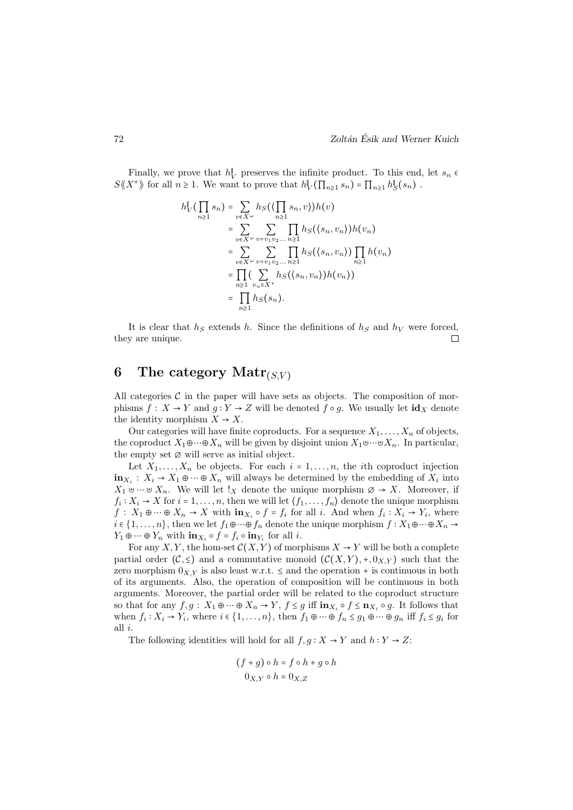Finally, we prove that  $h_V^{\dagger}$  preserves the infinite product. To this end, let  $s_n \in$  $S\langle\!\langle X^*\rangle\!\rangle$  for all  $n \geq 1$ . We want to prove that  $h_V^{\sharp}(\prod_{n\geq 1} s_n) = \prod_{n\geq 1} h_S^{\sharp}(s_n)$ .

$$
h_V^{\sharp}(\prod_{n\geq 1} s_n) = \sum_{v\in X^{\omega}} h_S(\left(\prod_{n\geq 1} s_n, v\right))h(v)
$$
  
\n
$$
= \sum_{v\in X^{\omega}} \sum_{v=v_1v_2...n\geq 1} \prod_{n\geq 1} h_S(\langle s_n, v_n \rangle)h(v_n)
$$
  
\n
$$
= \sum_{v\in X^{\omega}} \sum_{v=v_1v_2...n\geq 1} \prod_{n\geq 1} h_S(\langle s_n, v_n \rangle) \prod_{n\geq 1} h(v_n)
$$
  
\n
$$
= \prod_{n\geq 1} (\sum_{v_n\in X^*} h_S(\langle s_n, v_n \rangle)h(v_n))
$$
  
\n
$$
= \prod_{n\geq 1} h_S(s_n).
$$

It is clear that  $h<sub>S</sub>$  extends h. Since the definitions of  $h<sub>S</sub>$  and  $h<sub>V</sub>$  were forced, they are unique.  $\Box$ 

## 6 The category  $\text{Matr}_{(S,V)}$

All categories  $\mathcal C$  in the paper will have sets as objects. The composition of morphisms  $f: X \to Y$  and  $g: Y \to Z$  will be denoted  $f \circ g$ . We usually let  $\mathrm{id}_X$  denote the identity morphism  $X \to X$ .

Our categories will have finite coproducts. For a sequence  $X_1, \ldots, X_n$  of objects, the coproduct  $X_1 \oplus \cdots \oplus X_n$  will be given by disjoint union  $X_1 \oplus \cdots \oplus X_n$ . In particular, the empty set  $\varnothing$  will serve as initial object.

Let  $X_1, \ldots, X_n$  be objects. For each  $i = 1, \ldots, n$ , the *i*th coproduct injection  $\mathbf{in}_{X_i}: X_i \to X_1 \oplus \cdots \oplus X_n$  will always be determined by the embedding of  $X_i$  into  $X_1 \uplus \cdots \uplus X_n$ . We will let !<sub>X</sub> denote the unique morphism  $\emptyset \to X$ . Moreover, if  $f_i: X_i \to X$  for  $i = 1, \ldots, n$ , then we will let  $\langle f_1, \ldots, f_n \rangle$  denote the unique morphism  $f: X_1 \oplus \cdots \oplus X_n \to X$  with  $\mathbf{in}_{X_i} \circ f = f_i$  for all i. And when  $f_i: X_i \to Y_i$ , where  $i \in \{1, \ldots, n\}$ , then we let  $f_1 \oplus \cdots \oplus f_n$  denote the unique morphism  $f : X_1 \oplus \cdots \oplus X_n \rightarrow$  $Y_1 \oplus \cdots \oplus Y_n$  with  $\mathbf{in}_{X_i} \circ f = f_i \circ \mathbf{in}_{Y_i}$  for all *i*.

For any X, Y, the hom-set  $\mathcal{C}(X, Y)$  of morphisms  $X \to Y$  will be both a complete partial order  $(C, \leq)$  and a commutative monoid  $(C(X, Y), +, 0_{X,Y})$  such that the zero morphism  $0_{X,Y}$  is also least w.r.t.  $\leq$  and the operation + is continuous in both of its arguments. Also, the operation of composition will be continuous in both arguments. Moreover, the partial order will be related to the coproduct structure so that for any  $f, g: X_1 \oplus \cdots \oplus X_n \to Y, f \leq g$  iff  $\mathbf{in}_{X_i} \circ f \leq \mathbf{n}_{X_i} \circ g$ . It follows that when  $f_i: X_i \to Y_i$ , where  $i \in \{1, ..., n\}$ , then  $f_1 \oplus \cdots \oplus f_n \leq g_1 \oplus \cdots \oplus g_n$  iff  $f_i \leq g_i$  for all i.

The following identities will hold for all  $f, g: X \to Y$  and  $h: Y \to Z$ :

$$
(f+g) \circ h = f \circ h + g \circ h
$$

$$
0_{X,Y} \circ h = 0_{X,Z}
$$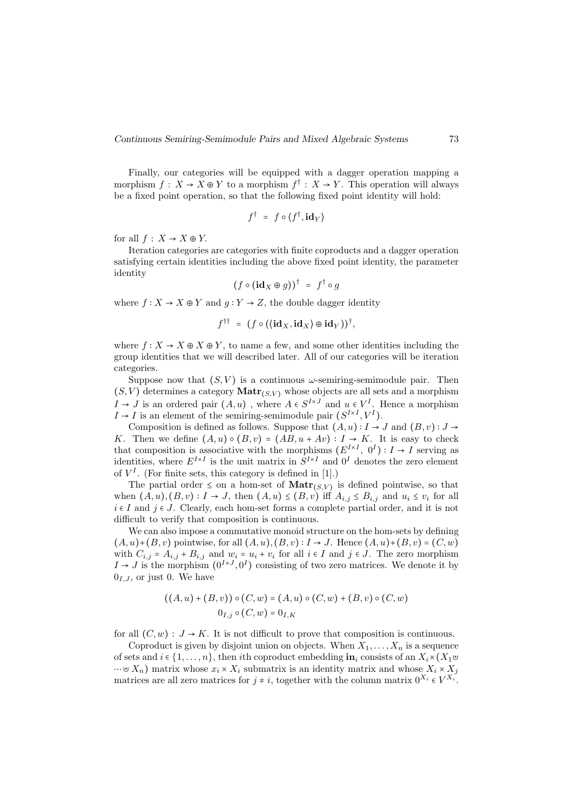Finally, our categories will be equipped with a dagger operation mapping a morphism  $f: X \to X \oplus Y$  to a morphism  $f^{\dagger}: X \to Y$ . This operation will always be a fixed point operation, so that the following fixed point identity will hold:

$$
f^{\dagger} = f \circ \langle f^{\dagger}, \mathbf{id}_Y \rangle
$$

for all  $f: X \to X \oplus Y$ .

Iteration categories are categories with finite coproducts and a dagger operation satisfying certain identities including the above fixed point identity, the parameter identity

$$
(f \circ (\mathbf{id}_X \oplus g))^{\dagger} = f^{\dagger} \circ g
$$

where  $f: X \to X \oplus Y$  and  $g: Y \to Z$ , the double dagger identity

$$
f^{\dagger\dagger} = (f \circ ((\mathbf{id}_X, \mathbf{id}_X) \oplus \mathbf{id}_Y))^{\dagger},
$$

where  $f: X \to X \oplus X \oplus Y$ , to name a few, and some other identities including the group identities that we will described later. All of our categories will be iteration categories.

Suppose now that  $(S, V)$  is a continuous  $\omega$ -semiring-semimodule pair. Then  $(S, V)$  determines a category  $\text{Matr}_{(S, V)}$  whose objects are all sets and a morphism  $I \rightarrow J$  is an ordered pair  $(A, u)$ , where  $A \in S^{I \times J}$  and  $u \in V^I$ . Hence a morphism  $I \rightarrow I$  is an element of the semiring-semimodule pair  $(S^{I \times I}, V^I)$ .

Composition is defined as follows. Suppose that  $(A, u) : I \to J$  and  $(B, v) : J \to$ K. Then we define  $(A, u) \circ (B, v) = (AB, u + Av) : I \rightarrow K$ . It is easy to check that composition is associative with the morphisms  $(E^{I \times I}, 0^I) : I \to I$  serving as identities, where  $E^{I \times I}$  is the unit matrix in  $S^{I \times I}$  and  $0^I$  denotes the zero element of  $V^I$ . (For finite sets, this category is defined in [1].)

The partial order  $\leq$  on a hom-set of  $\text{Matrix}(S, V)$  is defined pointwise, so that when  $(A, u), (B, v) : I \to J$ , then  $(A, u) \le (B, v)$  iff  $A_{i,j} \le B_{i,j}$  and  $u_i \le v_i$  for all  $i \in I$  and  $j \in J$ . Clearly, each hom-set forms a complete partial order, and it is not difficult to verify that composition is continuous.

We can also impose a commutative monoid structure on the hom-sets by defining  $(A, u)$ + $(B, v)$  pointwise, for all  $(A, u)$ ,  $(B, v)$  :  $I \rightarrow J$ . Hence  $(A, u)$ + $(B, v)$  =  $(C, w)$ with  $C_{i,j} = A_{i,j} + B_{i,j}$  and  $w_i = u_i + v_i$  for all  $i \in I$  and  $j \in J$ . The zero morphism  $I \rightarrow J$  is the morphism  $(0^{I \times J}, 0^I)$  consisting of two zero matrices. We denote it by  $0_{I,J}$ , or just 0. We have

$$
((A, u) + (B, v)) \circ (C, w) = (A, u) \circ (C, w) + (B, v) \circ (C, w)
$$
  

$$
0_{I, j} \circ (C, w) = 0_{I, K}
$$

for all  $(C, w) : J \to K$ . It is not difficult to prove that composition is continuous.

Coproduct is given by disjoint union on objects. When  $X_1, \ldots, X_n$  is a sequence of sets and  $i \in \{1, \ldots, n\}$ , then ith coproduct embedding  $\mathbf{in}_i$  consists of an  $X_i \times (X_1 \oplus$  $\dots \oplus X_n$ ) matrix whose  $x_i \times X_i$  submatrix is an identity matrix and whose  $X_i \times X_j$ matrices are all zero matrices for  $j \neq i$ , together with the column matrix  $0^{X_i} \in V^{X_i}$ .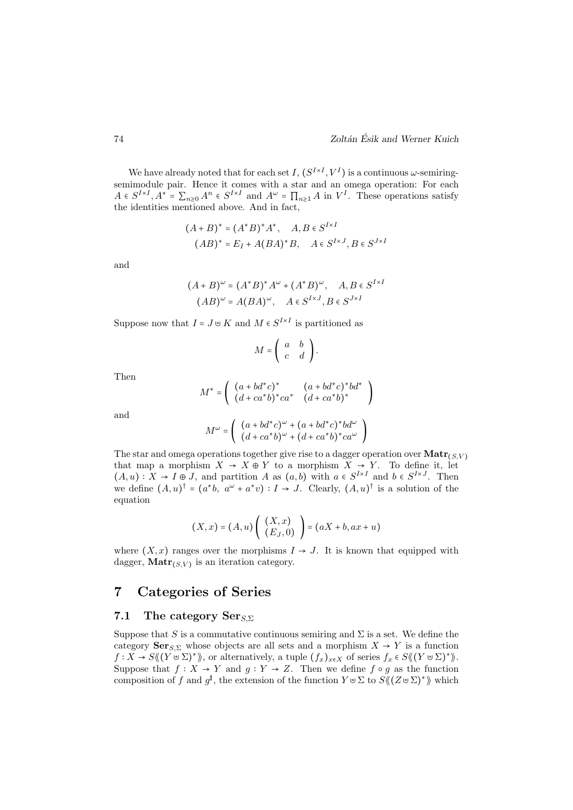We have already noted that for each set I,  $(S^{I\times I}, V^I)$  is a continuous  $\omega$ -semiringsemimodule pair. Hence it comes with a star and an omega operation: For each  $A \in S^{I \times I}, A^* = \sum_{n\geq 0} A^n \in S^{I \times I}$  and  $A^{\omega} = \prod_{n\geq 1} A$  in  $V^I$ . These operations satisfy the identities mentioned above. And in fact,

$$
(A + B)^* = (A^*B)^*A^*, \quad A, B \in S^{I \times I}
$$

$$
(AB)^* = E_I + A(BA)^*B, \quad A \in S^{I \times J}, B \in S^{J \times I}
$$

and

$$
(A + B)^{\omega} = (A^*B)^* A^{\omega} + (A^*B)^{\omega}, \quad A, B \in S^{I \times I}
$$

$$
(AB)^{\omega} = A(BA)^{\omega}, \quad A \in S^{I \times J}, B \in S^{J \times I}
$$

Suppose now that  $I = J \cup K$  and  $M \in S^{I \times I}$  is partitioned as

$$
M = \left( \begin{array}{cc} a & b \\ c & d \end{array} \right).
$$

Then

$$
M^* = \left( \begin{array}{cc} (a+bd^*c)^* & (a+bd^*c)^*bd^* \\ (d+ca^*b)^*ca^* & (d+ca^*b)^* \end{array} \right)
$$

and

$$
M^{\omega}=\left(\begin{array}{c}(a+bd^*c)^{\omega}+(a+bd^*c)^*bd^{\omega}\\(d+ca^*b)^{\omega}+(d+ca^*b)^*ca^{\omega}\end{array}\right)
$$

The star and omega operations together give rise to a dagger operation over  $\text{Matr}_{(S,V)}$ that map a morphism  $X \to X \oplus Y$  to a morphism  $X \to Y$ . To define it, let  $(A, u): X \to I \oplus J$ , and partition A as  $(a, b)$  with  $a \in S^{I \times I}$  and  $b \in S^{I \times J}$ . Then we define  $(A, u)^{\dagger} = (a^*b, a^{\omega} + a^*v) : I \to J$ . Clearly,  $(A, u)^{\dagger}$  is a solution of the equation

$$
(X,x) = (A,u) \left( \begin{array}{c} (X,x) \\ (E_J,0) \end{array} \right) = (aX + b, ax + u)
$$

where  $(X, x)$  ranges over the morphisms  $I \rightarrow J$ . It is known that equipped with dagger,  $\text{Matr}_{(S,V)}$  is an iteration category.

# 7 Categories of Series

#### 7.1 The category  $\text{Ser}_{S,\Sigma}$

Suppose that S is a commutative continuous semiring and  $\Sigma$  is a set. We define the category  $\mathbf{Ser}_{S,\Sigma}$  whose objects are all sets and a morphism  $X \to Y$  is a function  $f: X \to S \langle (Y \cup \Sigma)^* \rangle$ , or alternatively, a tuple  $(f_x)_{x \in X}$  of series  $f_x \in S \langle (Y \cup \Sigma)^* \rangle$ . Suppose that  $f: X \to Y$  and  $g: Y \to Z$ . Then we define  $f \circ g$  as the function composition of f and  $g^{\sharp}$ , the extension of the function  $Y \cup \Sigma$  to  $S \langle (Z \cup \Sigma)^* \rangle$  which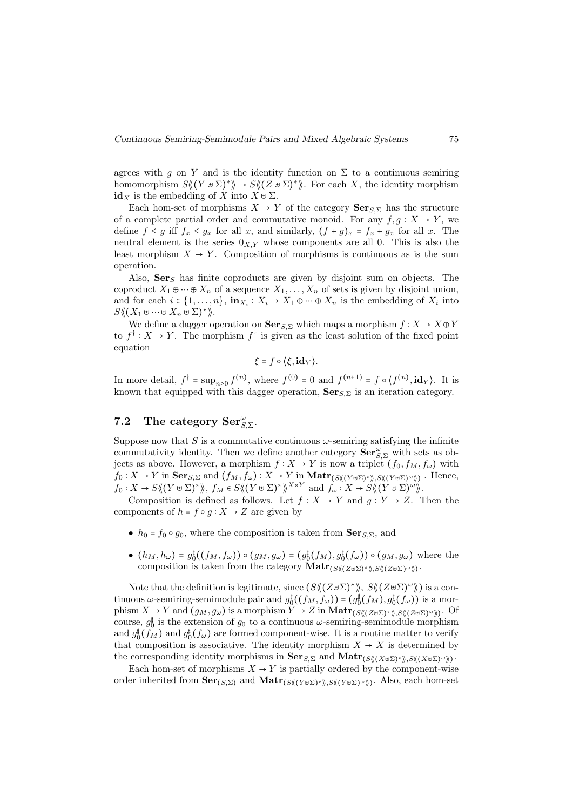agrees with g on Y and is the identity function on  $\Sigma$  to a continuous semiring homomorphism  $S(\& (Y \cup \Sigma)^*) \rightarrow S(\& (Z \cup \Sigma)^*)$ . For each X, the identity morphism  $id_X$  is the embedding of X into  $X \cup \Sigma$ .

Each hom-set of morphisms  $X \to Y$  of the category  $\text{Ser}_{S,\Sigma}$  has the structure of a complete partial order and commutative monoid. For any  $f, g: X \to Y$ , we define  $f \leq g$  iff  $f_x \leq g_x$  for all x, and similarly,  $(f + g)_x = f_x + g_x$  for all x. The neutral element is the series  $0_{X,Y}$  whose components are all 0. This is also the least morphism  $X \to Y$ . Composition of morphisms is continuous as is the sum operation.

Also,  $\mathbf{Ser}_{S}$  has finite coproducts are given by disjoint sum on objects. The coproduct  $X_1 \oplus \cdots \oplus X_n$  of a sequence  $X_1, \ldots, X_n$  of sets is given by disjoint union, and for each  $i \in \{1, \ldots, n\}$ ,  $\mathbf{in}_{X_i} : X_i \to X_1 \oplus \cdots \oplus X_n$  is the embedding of  $X_i$  into  $S\langle\!\langle (X_1\uplus\cdots\uplus X_n\uplus\Sigma)^*\rangle\!\rangle.$ 

We define a dagger operation on  $\mathbf{Ser}_{S,\Sigma}$  which maps a morphism  $f: X \to X \oplus Y$ to  $f^{\dagger}: X \to Y$ . The morphism  $f^{\dagger}$  is given as the least solution of the fixed point equation

$$
\xi = f \circ \langle \xi, id_Y \rangle.
$$

In more detail,  $f^{\dagger} = \sup_{n\geq 0} f^{(n)}$ , where  $f^{(0)} = 0$  and  $f^{(n+1)} = f \circ \langle f^{(n)}, id_{Y} \rangle$ . It is known that equipped with this dagger operation,  $\mathbf{Ser}_{S,\Sigma}$  is an iteration category.

# 7.2 The category  $\text{Ser}_{S,\Sigma}^{\omega}$ .

Suppose now that S is a commutative continuous  $\omega$ -semiring satisfying the infinite commutativity identity. Then we define another category  $\overline{\text{Ser}}_{S,\Sigma}^{\omega}$  with sets as objects as above. However, a morphism  $f : X \to Y$  is now a triplet  $(f_0, f_M, f_\omega)$  with  $f_0: X \to Y$  in  $\textbf{Ser}_{S,\Sigma}$  and  $(f_M, f_\omega): X \to Y$  in  $\textbf{Matr}_{(S \langle (Y \cup \Sigma)^* \rangle), S \langle (Y \cup \Sigma)^\omega \rangle)}$ . Hence,  $f_0: X \to S \langle\langle (Y \cup \Sigma)^* \rangle\rangle, f_M \in S \langle\langle (Y \cup \Sigma)^* \rangle\rangle^{X \times Y}$  and  $f_\omega: X \to S \langle\langle (Y \cup \Sigma)^* \rangle\rangle$ .

Composition is defined as follows. Let  $f : X \to Y$  and  $g : Y \to Z$ . Then the components of  $h = f \circ g : X \to Z$  are given by

- $h_0 = f_0 \circ g_0$ , where the composition is taken from  $\mathbf{Ser}_{S,\Sigma}$ , and
- $(h_M, h_\omega) = g_0^{\sharp}((f_M, f_\omega)) \circ (g_M, g_\omega) = (g_0^{\sharp}(f_M), g_0^{\sharp}(f_\omega)) \circ (g_M, g_\omega)$  where the composition is taken from the category  $\textbf{Matr}_{(S \langle (Z \uplus \Sigma)^\ast \rangle), S \langle (Z \uplus \Sigma)^\omega \rangle)}$ .

Note that the definition is legitimate, since  $(S\langle (Z\oplus \Sigma)^* \rangle, S\langle (Z\oplus \Sigma)^{\omega} \rangle)$  is a continuous  $\omega$ -semiring-semimodule pair and  $g_{\phi}^{\sharp}((f_M, f_{\omega})) = (g_{\phi}^{\sharp}(f_M), g_{\phi}^{\sharp}(f_{\omega}))$  is a morphism  $X \to Y$  and  $(g_M, g_\omega)$  is a morphism  $Y \to Z$  in  $\text{Matr}_{(S \langle (Z \cup \Sigma)^* \rangle, S \langle (Z \cup \Sigma)^* \rangle)}$ . Of course,  $g_0^{\dagger}$  is the extension of  $g_0$  to a continuous  $\omega$ -semiring-semimodule morphism and  $g_0^{\sharp}(f_M)$  and  $g_0^{\sharp}(f_{\omega})$  are formed component-wise. It is a routine matter to verify that composition is associative. The identity morphism  $X \to X$  is determined by the corresponding identity morphisms in  $\textbf{Ser}_{S,\Sigma}$  and  $\textbf{Matr}_{(S\mathcal{M}(X\cup\Sigma)^{*}\mathcal{N},S\mathcal{M}(X\cup\Sigma)^{\omega}\mathcal{N})}$ .

Each hom-set of morphisms  $X \to Y$  is partially ordered by the component-wise order inherited from  $\textbf{Ser}_{(S,\Sigma)}$  and  $\textbf{Matr}_{(S\langle (Y\uplus\Sigma)^{*}\rangle, S\langle (Y\uplus\Sigma)^{\omega}\rangle)}$ . Also, each hom-set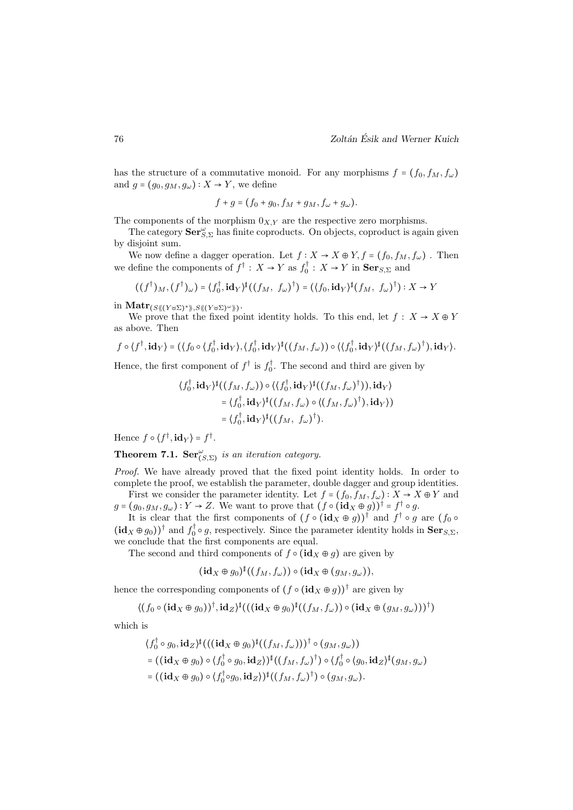has the structure of a commutative monoid. For any morphisms  $f = (f_0, f_M, f_\omega)$ and  $g = (g_0, g_M, g_\omega) : X \to Y$ , we define

$$
f+g=(f_0+g_0,f_M+g_M,f_\omega+g_\omega).
$$

The components of the morphism  $0_{X,Y}$  are the respective zero morphisms.

The category  $\mathbf{Ser}_{S,\Sigma}^{\omega}$  has finite coproducts. On objects, coproduct is again given by disjoint sum.

We now define a dagger operation. Let  $f: X \to X \oplus Y, f = (f_0, f_M, f_\omega)$ . Then we define the components of  $f^{\dagger}$  :  $X \to Y$  as  $f_0^{\dagger}$  :  $X \to Y$  in  $\text{Ser}_{S,\Sigma}$  and

$$
((f^{\dagger})_M,(f^{\dagger})_{\omega}) = (f_0^{\dagger},\mathbf{id}_Y)^{\sharp}((f_M, f_{\omega})^{\dagger}) = ((f_0,\mathbf{id}_Y)^{\sharp}(f_M, f_{\omega})^{\dagger}) : X \to Y
$$

 $\inf \mathbf{Matr}_{(S\langle\!\langle (Y\uplus \Sigma)^*\rangle\!\rangle, S\langle\!\langle (Y\uplus \Sigma)^\omega\rangle\!\rangle)}.$ 

We prove that the fixed point identity holds. To this end, let  $f: X \to X \oplus Y$ as above. Then

$$
f\circ \langle f^{\dagger},\mathbf{id}_{Y}\rangle = (\langle f_{0}\circ \langle f_{0}^{\dagger},\mathbf{id}_{Y}\rangle,\langle f_{0}^{\dagger},\mathbf{id}_{Y}\rangle^{\sharp}((f_{M},f_{\omega}))\circ \langle \langle f_{0}^{\dagger},\mathbf{id}_{Y}\rangle^{\sharp}((f_{M},f_{\omega})^{\dagger}),\mathbf{id}_{Y}\rangle.
$$

Hence, the first component of  $f^{\dagger}$  is  $f_0^{\dagger}$ . The second and third are given by

$$
\langle f_0^{\dagger}, \mathbf{id}_Y \rangle^{\dagger} ((f_M, f_\omega)) \circ \langle \langle f_0^{\dagger}, \mathbf{id}_Y \rangle^{\dagger} ((f_M, f_\omega)^{\dagger})), \mathbf{id}_Y \rangle
$$
  
=  $\langle f_0^{\dagger}, \mathbf{id}_Y \rangle^{\dagger} ((f_M, f_\omega) \circ \langle (f_M, f_\omega)^{\dagger}), \mathbf{id}_Y \rangle )$   
=  $\langle f_0^{\dagger}, \mathbf{id}_Y \rangle^{\dagger} ((f_M, f_\omega)^{\dagger}).$ 

Hence  $f \circ \langle f^{\dagger}, \mathbf{id}_Y \rangle = f^{\dagger}$ .

**Theorem 7.1.**  $\mathbf{Ser}_{(S,\Sigma)}^{\omega}$  is an iteration category.

Proof. We have already proved that the fixed point identity holds. In order to complete the proof, we establish the parameter, double dagger and group identities.

First we consider the parameter identity. Let  $f = (f_0, f_M, f_\omega) : X \to X \oplus Y$  and  $g = (g_0, g_M, g_\omega) : Y \to Z$ . We want to prove that  $(f \circ (\mathbf{id}_X \oplus g))^{\dagger} = f^{\dagger} \circ g$ .

It is clear that the first components of  $(f \circ (\mathbf{id}_X \oplus g))^{\dagger}$  and  $f^{\dagger} \circ g$  are  $(f_0 \circ$  $(\mathbf{id}_X \oplus g_0)$ <sup>†</sup> and  $f_0^{\dagger} \circ g$ , respectively. Since the parameter identity holds in  $\mathbf{Ser}_{S,\Sigma}$ , we conclude that the first components are equal.

The second and third components of  $f \circ (\mathbf{id}_X \oplus g)$  are given by

$$
(\mathrm{id}_X \oplus g_0)^\sharp((f_M, f_\omega)) \circ (\mathrm{id}_X \oplus (g_M, g_\omega)),
$$

hence the corresponding components of  $(f \circ (\mathbf{id}_X \oplus g))^{\dagger}$  are given by

$$
\langle (f_0 \circ (\mathbf{id}_X \oplus g_0))^\dagger, \mathbf{id}_Z \rangle^{\sharp}(( (\mathbf{id}_X \oplus g_0)^{\sharp}((f_M, f_\omega)) \circ (\mathbf{id}_X \oplus (g_M, g_\omega)))^\dagger)
$$

which is

$$
\langle f_0^{\dagger} \circ g_0, id_Z \rangle^{\sharp} \big( \big( (\mathbf{id}_X \oplus g_0)^{\sharp} \big( (f_M, f_\omega) \big) \big) \dagger \circ (g_M, g_\omega) \big)
$$
  
= \big( (\mathbf{id}\_X \oplus g\_0) \circ \langle f\_0^{\dagger} \circ g\_0, id\_Z \rangle \big) \circ (\langle f\_M, f\_\omega \rangle^{\dagger}) \circ \langle f\_0^{\dagger} \circ (g\_0, id\_Z)^{\sharp} (g\_M, g\_\omega) \big)  
= \big( (\mathbf{id}\_X \oplus g\_0) \circ \langle f\_0^{\dagger} \circ g\_0, id\_Z \rangle \big) \circ (\langle f\_M, f\_\omega \rangle^{\dagger}) \circ (\langle g\_M, g\_\omega) \big).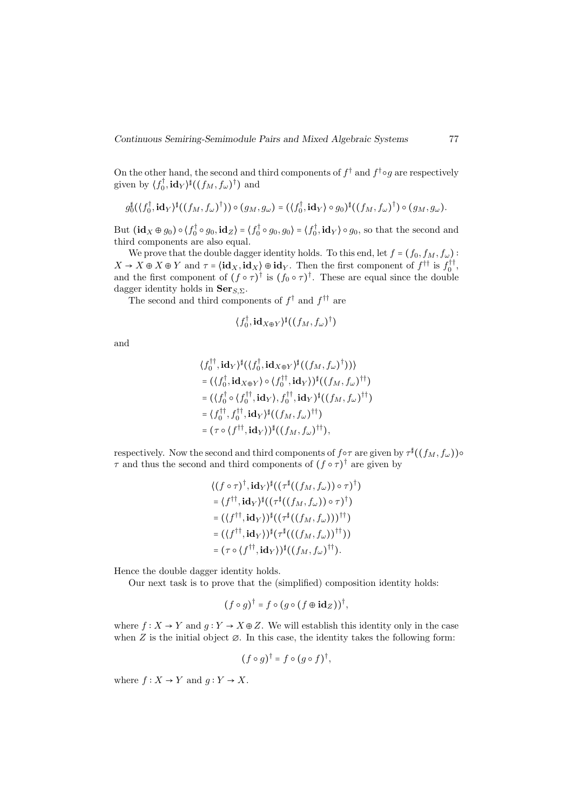On the other hand, the second and third components of  $f^{\dagger}$  and  $f^{\dagger} \circ g$  are respectively given by  $\langle f_0^{\dagger}, \mathbf{id}_Y \rangle^{\dagger}((f_M, f_{\omega})^{\dagger})$  and

$$
g_0^{\sharp}(\langle f_0^{\dagger},\mathbf{id}_Y\rangle^{\sharp}((f_M,f_{\omega})^{\dagger}))\circ (g_M,g_{\omega})=(\langle f_0^{\dagger},\mathbf{id}_Y\rangle\circ g_0)^{\sharp}((f_M,f_{\omega})^{\dagger})\circ (g_M,g_{\omega}).
$$

But  $(\mathbf{id}_X \oplus g_0) \circ \langle f_0^{\dagger} \circ g_0, \mathbf{id}_Z \rangle = \langle f_0^{\dagger} \circ g_0, g_0 \rangle = \langle f_0^{\dagger}, \mathbf{id}_Y \rangle \circ g_0$ , so that the second and third components are also equal.

We prove that the double dagger identity holds. To this end, let  $f = (f_0, f_M, f_\omega)$ :  $X \to X \oplus Y$  and  $\tau = \langle id_X, id_X \rangle \oplus id_Y$ . Then the first component of  $f^{\dagger \dagger}$  is  $f_0^{\dagger \dagger}$ , and the first component of  $(f \circ \tau)^{\dagger}$  is  $(f_0 \circ \tau)^{\dagger}$ . These are equal since the double dagger identity holds in  $\mathbf{Ser}_{S,\Sigma}$ .

The second and third components of  $f^{\dagger}$  and  $f^{\dagger}$  are

$$
\langle f_0^\dagger, \mathbf{id}_{X \oplus Y} \rangle^\sharp ((f_M, f_\omega)^\dagger)
$$

and

$$
\langle f_0^{\dagger\dagger}, \mathbf{id}_Y \rangle^{\dagger} (\langle f_0^{\dagger}, \mathbf{id}_{X \oplus Y} \rangle^{\dagger} ((f_M, f_\omega)^{\dagger})))
$$
  
= 
$$
(\langle f_0^{\dagger}, \mathbf{id}_{X \oplus Y} \rangle \circ \langle f_0^{\dagger\dagger}, \mathbf{id}_Y \rangle)^{\dagger} ((f_M, f_\omega)^{\dagger\dagger})
$$
  
= 
$$
(\langle f_0^{\dagger} \circ \langle f_0^{\dagger\dagger}, \mathbf{id}_Y \rangle, f_0^{\dagger\dagger}, \mathbf{id}_Y \rangle^{\dagger} ((f_M, f_\omega)^{\dagger\dagger})
$$
  
= 
$$
\langle f_0^{\dagger\dagger}, f_0^{\dagger\dagger}, \mathbf{id}_Y \rangle^{\dagger} ((f_M, f_\omega)^{\dagger\dagger})
$$
  
= 
$$
(\tau \circ \langle f^{\dagger\dagger}, \mathbf{id}_Y \rangle)^{\dagger} ((f_M, f_\omega)^{\dagger\dagger}),
$$

respectively. Now the second and third components of  $f \circ \tau$  are given by  $\tau^{\sharp}((f_M, f_{\omega})) \circ$  $\tau$  and thus the second and third components of  $(f \circ \tau)^{\dagger}$  are given by

$$
\langle (f \circ \tau)^{\dagger}, id_{Y} \rangle^{\dagger} ((\tau^{\dagger}((f_{M}, f_{\omega})) \circ \tau)^{\dagger})
$$
  
=  $\langle f^{\dagger \dagger}, id_{Y} \rangle^{\dagger} ((\tau^{\dagger}((f_{M}, f_{\omega})) \circ \tau)^{\dagger})$   
=  $((f^{\dagger \dagger}, id_{Y}))^{\dagger} ((\tau^{\dagger}((f_{M}, f_{\omega})))^{\dagger \dagger})$   
=  $((f^{\dagger \dagger}, id_{Y}))^{\dagger} (\tau^{\dagger}(((f_{M}, f_{\omega}))^{\dagger \dagger}))$   
=  $(\tau \circ (f^{\dagger \dagger}, id_{Y}))^{\dagger} ((f_{M}, f_{\omega})^{\dagger \dagger}).$ 

Hence the double dagger identity holds.

Our next task is to prove that the (simplified) composition identity holds:

$$
(f \circ g)^{\dagger} = f \circ (g \circ (f \oplus id_Z))^{\dagger},
$$

where  $f: X \to Y$  and  $g: Y \to X \oplus Z$ . We will establish this identity only in the case when  $Z$  is the initial object  $\varnothing$ . In this case, the identity takes the following form:

$$
(f\circ g)^{\dagger}=f\circ (g\circ f)^{\dagger},
$$

where  $f: X \to Y$  and  $g: Y \to X$ .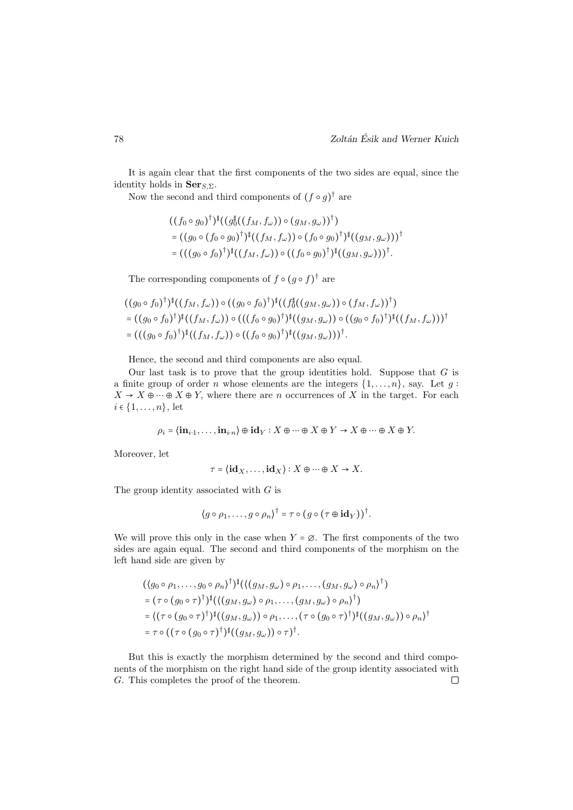It is again clear that the first components of the two sides are equal, since the identity holds in  $\mathbf{Ser}_{S,\Sigma}$ .

Now the second and third components of  $(f \circ g)^\dagger$  are

$$
((f_0 \circ g_0)^{\dagger})^{\sharp}((g_0^{\sharp}((f_M, f_\omega)) \circ (g_M, g_\omega))^{\dagger})
$$
  
=  $((g_0 \circ (f_0 \circ g_0)^{\dagger})^{\sharp}((f_M, f_\omega)) \circ (f_0 \circ g_0)^{\dagger})^{\sharp}((g_M, g_\omega)))^{\dagger}$   
=  $((g_0 \circ f_0)^{\dagger})^{\sharp}((f_M, f_\omega)) \circ ((f_0 \circ g_0)^{\dagger})^{\sharp}((g_M, g_\omega)))^{\dagger}$ .

The corresponding components of  $f \circ (g \circ f)^{\dagger}$  are

$$
((g_0 \circ f_0)^{\dagger})^{\dagger}((f_M, f_{\omega})) \circ ((g_0 \circ f_0)^{\dagger})^{\dagger}((f_0^{\dagger}((g_M, g_{\omega})) \circ (f_M, f_{\omega}))^{\dagger})
$$
  
=  $((g_0 \circ f_0)^{\dagger})^{\dagger}((f_M, f_{\omega})) \circ ((f_0 \circ g_0)^{\dagger})^{\dagger}((g_M, g_{\omega})) \circ ((g_0 \circ f_0)^{\dagger})^{\dagger}((f_M, f_{\omega})))^{\dagger}$   
=  $((g_0 \circ f_0)^{\dagger})^{\dagger}((f_M, f_{\omega})) \circ ((f_0 \circ g_0)^{\dagger})^{\dagger}((g_M, g_{\omega})))^{\dagger}$ .

Hence, the second and third components are also equal.

Our last task is to prove that the group identities hold. Suppose that  $G$  is a finite group of order *n* whose elements are the integers  $\{1, \ldots, n\}$ , say. Let g:  $X \to X \oplus \cdots \oplus X \oplus Y$ , where there are *n* occurrences of X in the target. For each  $i \in \{1, \ldots, n\}$ , let

$$
\rho_i = \langle \mathbf{in}_{i \cdot 1}, \dots, \mathbf{in}_{i \cdot n} \rangle \oplus \mathbf{id}_Y : X \oplus \dots \oplus X \oplus Y \to X \oplus \dots \oplus X \oplus Y.
$$

Moreover, let

 $\mathbb{R}^2$ 

$$
\tau = \big\langle \mathbf{id}_X, \dots, \mathbf{id}_X \big\rangle : X \oplus \dots \oplus X \to X.
$$

The group identity associated with G is

$$
\langle g\circ \rho_1,\ldots,g\circ \rho_n\rangle^{\dagger}=\tau\circ (g\circ (\tau\oplus id_Y))^{\dagger}.
$$

We will prove this only in the case when  $Y = \emptyset$ . The first components of the two sides are again equal. The second and third components of the morphism on the left hand side are given by

$$
(\langle g_0 \circ \rho_1, \ldots, g_0 \circ \rho_n \rangle^{\dagger})^{\sharp} (\langle (g_M, g_{\omega}) \circ \rho_1, \ldots, (g_M, g_{\omega}) \circ \rho_n \rangle^{\dagger})
$$
  
= 
$$
(\tau \circ (g_0 \circ \tau)^{\dagger})^{\sharp} (\langle (g_M, g_{\omega}) \circ \rho_1, \ldots, (g_M, g_{\omega}) \circ \rho_n \rangle^{\dagger})
$$
  
= 
$$
\langle (\tau \circ (g_0 \circ \tau)^{\dagger})^{\sharp} ((g_M, g_{\omega})) \circ \rho_1, \ldots, (\tau \circ (g_0 \circ \tau)^{\dagger})^{\sharp} ((g_M, g_{\omega})) \circ \rho_n \rangle^{\dagger}
$$
  
= 
$$
\tau \circ ((\tau \circ (g_0 \circ \tau)^{\dagger})^{\sharp} ((g_M, g_{\omega})) \circ \tau)^{\dagger}.
$$

But this is exactly the morphism determined by the second and third components of the morphism on the right hand side of the group identity associated with G. This completes the proof of the theorem. $\Box$